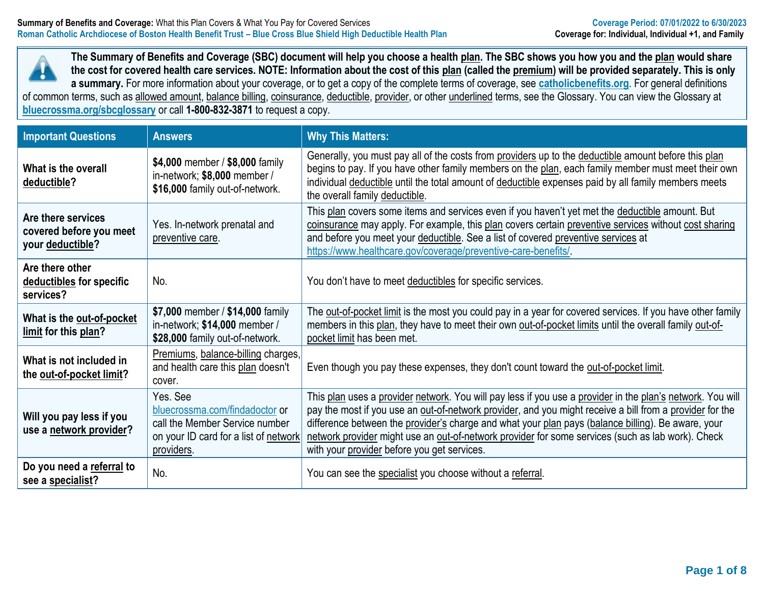

**The Summary of Benefits and Coverage (SBC) document will help you choose a health plan. The SBC shows you how you and the plan would share the cost for covered health care services. NOTE: Information about the cost of this plan (called the premium) will be provided separately. This is only a summary.** For more information about your coverage, or to get a copy of the complete terms of coverage, see **[catholicbenefits.org](http://catholicbenefits.org/)**. For general definitions of common terms, such as allowed amount, balance billing, coinsurance, deductible, provider, or other underlined terms, see the Glossary. You can view the Glossary at

**[bluecrossma.org/sbcglossary](https://home.bluecrossma.com/collateral/sites/g/files/csphws1571/files/acquiadam-assets/55-0382_SBC_Glossary_Medical_Terms.pdf)** or call **1-800-832-3871** to request a copy.

| <b>Important Questions</b>                                        | <b>Answers</b>                                                                                                                      | <b>Why This Matters:</b>                                                                                                                                                                                                                                                                                                                                                                                                                                                         |
|-------------------------------------------------------------------|-------------------------------------------------------------------------------------------------------------------------------------|----------------------------------------------------------------------------------------------------------------------------------------------------------------------------------------------------------------------------------------------------------------------------------------------------------------------------------------------------------------------------------------------------------------------------------------------------------------------------------|
| What is the overall<br>deductible?                                | \$4,000 member / \$8,000 family<br>in-network; \$8,000 member /<br>\$16,000 family out-of-network.                                  | Generally, you must pay all of the costs from providers up to the deductible amount before this plan<br>begins to pay. If you have other family members on the plan, each family member must meet their own<br>individual deductible until the total amount of deductible expenses paid by all family members meets<br>the overall family deductible.                                                                                                                            |
| Are there services<br>covered before you meet<br>your deductible? | Yes. In-network prenatal and<br>preventive care.                                                                                    | This plan covers some items and services even if you haven't yet met the deductible amount. But<br>coinsurance may apply. For example, this plan covers certain preventive services without cost sharing<br>and before you meet your deductible. See a list of covered preventive services at<br>https://www.healthcare.gov/coverage/preventive-care-benefits/                                                                                                                   |
| Are there other<br>deductibles for specific<br>services?          | No.                                                                                                                                 | You don't have to meet deductibles for specific services.                                                                                                                                                                                                                                                                                                                                                                                                                        |
| What is the out-of-pocket<br>limit for this plan?                 | \$7,000 member / \$14,000 family<br>in-network; \$14,000 member /<br>\$28,000 family out-of-network.                                | The out-of-pocket limit is the most you could pay in a year for covered services. If you have other family<br>members in this plan, they have to meet their own out-of-pocket limits until the overall family out-of-<br>pocket limit has been met.                                                                                                                                                                                                                              |
| What is not included in<br>the out-of-pocket limit?               | Premiums, balance-billing charges,<br>and health care this plan doesn't<br>cover.                                                   | Even though you pay these expenses, they don't count toward the out-of-pocket limit.                                                                                                                                                                                                                                                                                                                                                                                             |
| Will you pay less if you<br>use a network provider?               | Yes. See<br>bluecrossma.com/findadoctor or<br>call the Member Service number<br>on your ID card for a list of network<br>providers. | This plan uses a provider network. You will pay less if you use a provider in the plan's network. You will<br>pay the most if you use an out-of-network provider, and you might receive a bill from a provider for the<br>difference between the provider's charge and what your plan pays (balance billing). Be aware, your<br>network provider might use an out-of-network provider for some services (such as lab work). Check<br>with your provider before you get services. |
| Do you need a referral to<br>see a specialist?                    | No.                                                                                                                                 | You can see the specialist you choose without a referral.                                                                                                                                                                                                                                                                                                                                                                                                                        |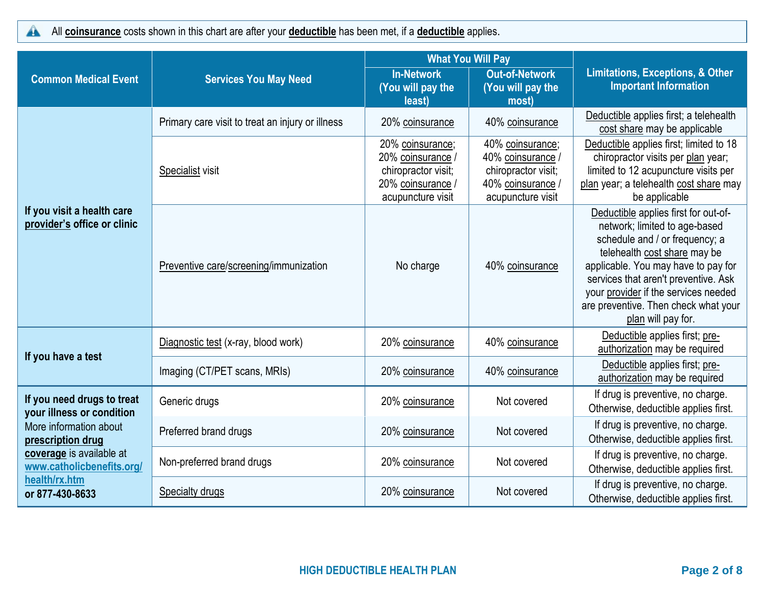$\blacktriangle$ All **coinsurance** costs shown in this chart are after your **deductible** has been met, if a **deductible** applies.

|                                                                                                                                                                                                                                                                                                                                                                                                                                                                                                                                                                                                                                                                                                                                                                                   |                                                                                                                                                                                  |                                                  |                                                     | Limitations, Exceptions, & Other<br><b>Important Information</b>                                                                                                                                                                                                                                                             |  |
|-----------------------------------------------------------------------------------------------------------------------------------------------------------------------------------------------------------------------------------------------------------------------------------------------------------------------------------------------------------------------------------------------------------------------------------------------------------------------------------------------------------------------------------------------------------------------------------------------------------------------------------------------------------------------------------------------------------------------------------------------------------------------------------|----------------------------------------------------------------------------------------------------------------------------------------------------------------------------------|--------------------------------------------------|-----------------------------------------------------|------------------------------------------------------------------------------------------------------------------------------------------------------------------------------------------------------------------------------------------------------------------------------------------------------------------------------|--|
| <b>Common Medical Event</b>                                                                                                                                                                                                                                                                                                                                                                                                                                                                                                                                                                                                                                                                                                                                                       | <b>Services You May Need</b>                                                                                                                                                     | <b>In-Network</b><br>(You will pay the<br>least) | <b>Out-of-Network</b><br>(You will pay the<br>most) |                                                                                                                                                                                                                                                                                                                              |  |
|                                                                                                                                                                                                                                                                                                                                                                                                                                                                                                                                                                                                                                                                                                                                                                                   | Primary care visit to treat an injury or illness                                                                                                                                 | 20% coinsurance                                  | 40% coinsurance                                     | Deductible applies first; a telehealth<br>cost share may be applicable                                                                                                                                                                                                                                                       |  |
| <b>What You Will Pay</b><br>20% coinsurance;<br>40% coinsurance;<br>40% coinsurance /<br>20% coinsurance /<br>Specialist visit<br>chiropractor visit;<br>chiropractor visit;<br>20% coinsurance /<br>40% coinsurance<br>acupuncture visit<br>acupuncture visit<br>If you visit a health care<br>provider's office or clinic<br>Preventive care/screening/immunization<br>No charge<br>40% coinsurance<br>Diagnostic test (x-ray, blood work)<br>20% coinsurance<br>40% coinsurance<br>If you have a test<br>Imaging (CT/PET scans, MRIs)<br>40% coinsurance<br>20% coinsurance<br>If you need drugs to treat<br>Generic drugs<br>20% coinsurance<br>Not covered<br>your illness or condition<br>More information about<br>Preferred brand drugs<br>Not covered<br>20% coinsurance | Deductible applies first; limited to 18<br>chiropractor visits per plan year;<br>limited to 12 acupuncture visits per<br>plan year; a telehealth cost share may<br>be applicable |                                                  |                                                     |                                                                                                                                                                                                                                                                                                                              |  |
|                                                                                                                                                                                                                                                                                                                                                                                                                                                                                                                                                                                                                                                                                                                                                                                   |                                                                                                                                                                                  |                                                  |                                                     | Deductible applies first for out-of-<br>network; limited to age-based<br>schedule and / or frequency; a<br>telehealth cost share may be<br>applicable. You may have to pay for<br>services that aren't preventive. Ask<br>your provider if the services needed<br>are preventive. Then check what your<br>plan will pay for. |  |
|                                                                                                                                                                                                                                                                                                                                                                                                                                                                                                                                                                                                                                                                                                                                                                                   |                                                                                                                                                                                  |                                                  |                                                     | Deductible applies first; pre-<br>authorization may be required                                                                                                                                                                                                                                                              |  |
|                                                                                                                                                                                                                                                                                                                                                                                                                                                                                                                                                                                                                                                                                                                                                                                   |                                                                                                                                                                                  |                                                  |                                                     | Deductible applies first; pre-<br>authorization may be required                                                                                                                                                                                                                                                              |  |
|                                                                                                                                                                                                                                                                                                                                                                                                                                                                                                                                                                                                                                                                                                                                                                                   |                                                                                                                                                                                  |                                                  |                                                     | If drug is preventive, no charge.<br>Otherwise, deductible applies first.                                                                                                                                                                                                                                                    |  |
| prescription drug                                                                                                                                                                                                                                                                                                                                                                                                                                                                                                                                                                                                                                                                                                                                                                 |                                                                                                                                                                                  |                                                  |                                                     | If drug is preventive, no charge.<br>Otherwise, deductible applies first.                                                                                                                                                                                                                                                    |  |
| coverage is available at<br>www.catholicbenefits.org/                                                                                                                                                                                                                                                                                                                                                                                                                                                                                                                                                                                                                                                                                                                             | Non-preferred brand drugs                                                                                                                                                        | 20% coinsurance                                  | Not covered                                         | If drug is preventive, no charge.<br>Otherwise, deductible applies first.                                                                                                                                                                                                                                                    |  |
| health/rx.htm<br>or 877-430-8633                                                                                                                                                                                                                                                                                                                                                                                                                                                                                                                                                                                                                                                                                                                                                  | <b>Specialty drugs</b>                                                                                                                                                           | 20% coinsurance                                  | Not covered                                         | If drug is preventive, no charge.<br>Otherwise, deductible applies first.                                                                                                                                                                                                                                                    |  |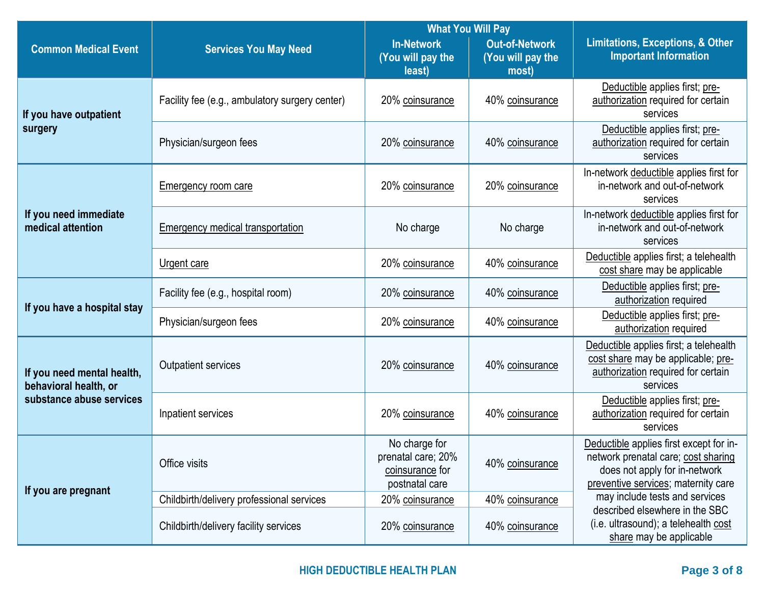|                                                             |                                                | <b>What You Will Pay</b>                                                                    |                                                     |                                                                                                                                                        |
|-------------------------------------------------------------|------------------------------------------------|---------------------------------------------------------------------------------------------|-----------------------------------------------------|--------------------------------------------------------------------------------------------------------------------------------------------------------|
| <b>Common Medical Event</b><br><b>Services You May Need</b> |                                                | <b>In-Network</b><br>(You will pay the<br>least)                                            | <b>Out-of-Network</b><br>(You will pay the<br>most) | <b>Limitations, Exceptions, &amp; Other</b><br><b>Important Information</b>                                                                            |
| If you have outpatient                                      | Facility fee (e.g., ambulatory surgery center) | 20% coinsurance                                                                             | 40% coinsurance                                     | Deductible applies first; pre-<br>authorization required for certain<br>services                                                                       |
| surgery                                                     | Physician/surgeon fees                         | 20% coinsurance                                                                             | 40% coinsurance                                     | Deductible applies first; pre-<br>authorization required for certain<br>services                                                                       |
|                                                             | <b>Emergency room care</b>                     | 20% coinsurance                                                                             | 20% coinsurance                                     | In-network deductible applies first for<br>in-network and out-of-network<br>services                                                                   |
| If you need immediate<br>medical attention                  | Emergency medical transportation               | No charge                                                                                   | No charge                                           | In-network deductible applies first for<br>in-network and out-of-network<br>services                                                                   |
|                                                             | Urgent care                                    | 20% coinsurance                                                                             | 40% coinsurance                                     | Deductible applies first; a telehealth<br>cost share may be applicable                                                                                 |
| If you have a hospital stay                                 | Facility fee (e.g., hospital room)             | 20% coinsurance                                                                             | 40% coinsurance                                     | Deductible applies first; pre-<br>authorization required                                                                                               |
|                                                             | Physician/surgeon fees                         | 20% coinsurance                                                                             | 40% coinsurance                                     | Deductible applies first; pre-<br>authorization required                                                                                               |
| If you need mental health,<br>behavioral health, or         | <b>Outpatient services</b>                     | 20% coinsurance                                                                             | 40% coinsurance                                     | Deductible applies first; a telehealth<br>cost share may be applicable; pre-<br>authorization required for certain<br>services                         |
| substance abuse services                                    | Inpatient services                             | 20% coinsurance                                                                             | 40% coinsurance                                     | Deductible applies first; pre-<br>authorization required for certain<br>services                                                                       |
|                                                             | Office visits                                  | No charge for<br>prenatal care; 20%<br>40% coinsurance<br>coinsurance for<br>postnatal care |                                                     | Deductible applies first except for in-<br>network prenatal care; cost sharing<br>does not apply for in-network<br>preventive services; maternity care |
| If you are pregnant                                         | Childbirth/delivery professional services      | 20% coinsurance                                                                             | 40% coinsurance                                     | may include tests and services                                                                                                                         |
|                                                             | Childbirth/delivery facility services          | 20% coinsurance                                                                             | 40% coinsurance                                     | described elsewhere in the SBC<br>(i.e. ultrasound); a telehealth cost<br>share may be applicable                                                      |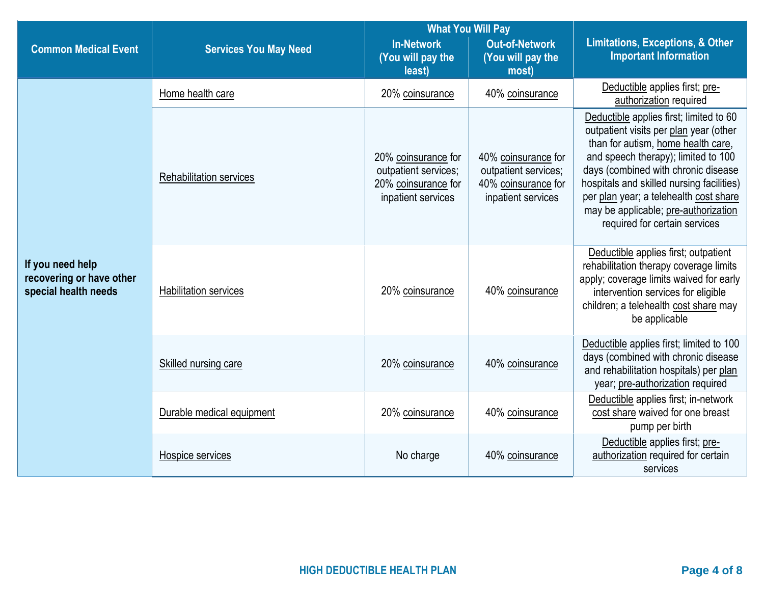|                                                                      |                                | <b>What You Will Pay</b>                                                                 |                                                                                          | <b>Limitations, Exceptions, &amp; Other</b><br><b>Important Information</b>                                                                                                                                                                                                                                                                                           |  |
|----------------------------------------------------------------------|--------------------------------|------------------------------------------------------------------------------------------|------------------------------------------------------------------------------------------|-----------------------------------------------------------------------------------------------------------------------------------------------------------------------------------------------------------------------------------------------------------------------------------------------------------------------------------------------------------------------|--|
| <b>Common Medical Event</b>                                          | <b>Services You May Need</b>   | <b>In-Network</b><br>(You will pay the<br>least)                                         | <b>Out-of-Network</b><br>(You will pay the<br>most)                                      |                                                                                                                                                                                                                                                                                                                                                                       |  |
|                                                                      | Home health care               | 20% coinsurance                                                                          | 40% coinsurance                                                                          | Deductible applies first; pre-<br>authorization required                                                                                                                                                                                                                                                                                                              |  |
|                                                                      | <b>Rehabilitation services</b> | 20% coinsurance for<br>outpatient services;<br>20% coinsurance for<br>inpatient services | 40% coinsurance for<br>outpatient services;<br>40% coinsurance for<br>inpatient services | Deductible applies first; limited to 60<br>outpatient visits per plan year (other<br>than for autism, home health care,<br>and speech therapy); limited to 100<br>days (combined with chronic disease<br>hospitals and skilled nursing facilities)<br>per plan year; a telehealth cost share<br>may be applicable; pre-authorization<br>required for certain services |  |
| If you need help<br>recovering or have other<br>special health needs | Habilitation services          | 20% coinsurance                                                                          | 40% coinsurance                                                                          | Deductible applies first; outpatient<br>rehabilitation therapy coverage limits<br>apply; coverage limits waived for early<br>intervention services for eligible<br>children; a telehealth cost share may<br>be applicable                                                                                                                                             |  |
|                                                                      | Skilled nursing care           | 20% coinsurance                                                                          | 40% coinsurance                                                                          | Deductible applies first; limited to 100<br>days (combined with chronic disease<br>and rehabilitation hospitals) per plan<br>year; pre-authorization required                                                                                                                                                                                                         |  |
|                                                                      | Durable medical equipment      | 20% coinsurance                                                                          | 40% coinsurance                                                                          | Deductible applies first; in-network<br>cost share waived for one breast<br>pump per birth                                                                                                                                                                                                                                                                            |  |
|                                                                      | Hospice services               | No charge                                                                                | 40% coinsurance                                                                          | Deductible applies first; pre-<br>authorization required for certain<br>services                                                                                                                                                                                                                                                                                      |  |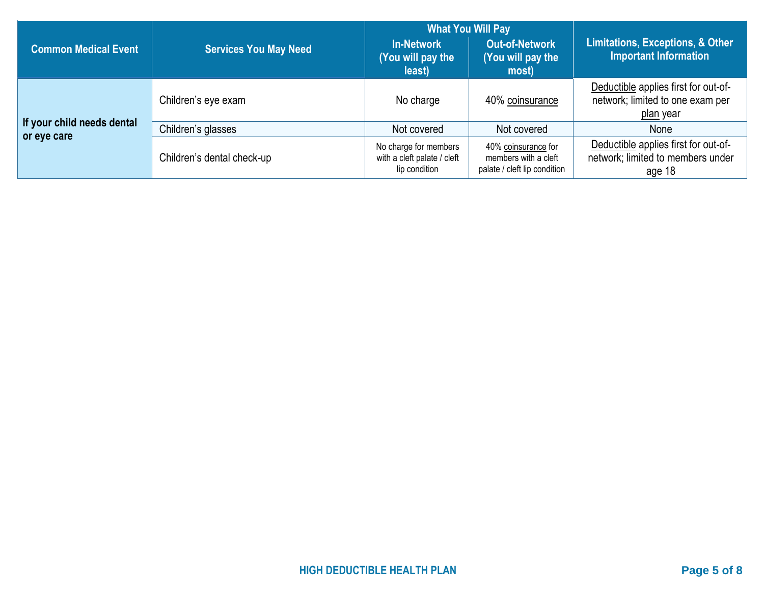|                                           |                              |                                                                       | <b>What You Will Pay</b>                                                    |                                                                                              |  |
|-------------------------------------------|------------------------------|-----------------------------------------------------------------------|-----------------------------------------------------------------------------|----------------------------------------------------------------------------------------------|--|
| <b>Common Medical Event</b>               | <b>Services You May Need</b> | <b>In-Network</b><br>(You will pay the<br>least)                      | <b>Out-of-Network</b><br>(You will pay the<br>most)                         | <b>Limitations, Exceptions, &amp; Other</b><br><b>Important Information</b>                  |  |
|                                           | Children's eye exam          | No charge                                                             | 40% coinsurance                                                             | Deductible applies first for out-of-<br>network; limited to one exam per<br><u>plan</u> year |  |
| If your child needs dental<br>or eye care | Children's glasses           | Not covered                                                           | Not covered                                                                 | None                                                                                         |  |
|                                           | Children's dental check-up   | No charge for members<br>with a cleft palate / cleft<br>lip condition | 40% coinsurance for<br>members with a cleft<br>palate / cleft lip condition | Deductible applies first for out-of-<br>network; limited to members under<br>age 18          |  |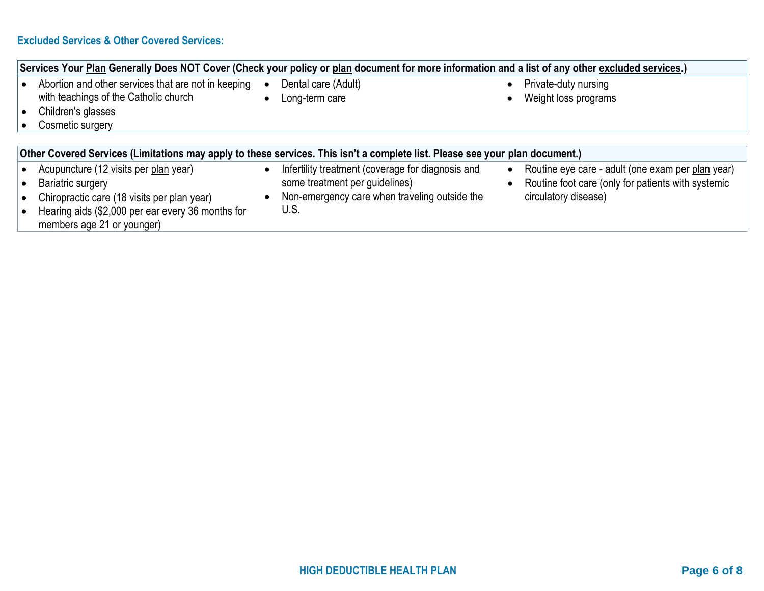## **Excluded Services & Other Covered Services:**

|           | Services Your Plan Generally Does NOT Cover (Check your policy or plan document for more information and a list of any other excluded services.)                                             |           |                                                                                                                                              |                        |                                                                                                                                 |  |
|-----------|----------------------------------------------------------------------------------------------------------------------------------------------------------------------------------------------|-----------|----------------------------------------------------------------------------------------------------------------------------------------------|------------------------|---------------------------------------------------------------------------------------------------------------------------------|--|
| $\bullet$ | Abortion and other services that are not in keeping<br>with teachings of the Catholic church<br>Children's glasses<br>Cosmetic surgery                                                       | $\bullet$ | Dental care (Adult)<br>Long-term care                                                                                                        | $\bullet$<br>$\bullet$ | Private-duty nursing<br>Weight loss programs                                                                                    |  |
|           | Other Covered Services (Limitations may apply to these services. This isn't a complete list. Please see your plan document.)                                                                 |           |                                                                                                                                              |                        |                                                                                                                                 |  |
|           | Acupuncture (12 visits per plan year)<br>Bariatric surgery<br>Chiropractic care (18 visits per plan year)<br>Hearing aids (\$2,000 per ear every 36 months for<br>members age 21 or younger) |           | Infertility treatment (coverage for diagnosis and<br>some treatment per guidelines)<br>Non-emergency care when traveling outside the<br>U.S. | $\bullet$              | Routine eye care - adult (one exam per plan year)<br>Routine foot care (only for patients with systemic<br>circulatory disease) |  |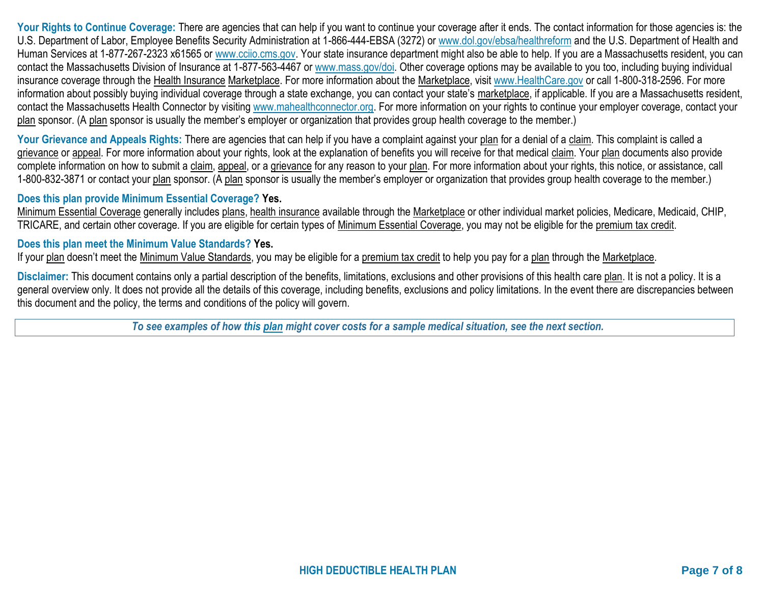Your Rights to Continue Coverage: There are agencies that can help if you want to continue your coverage after it ends. The contact information for those agencies is: the U.S. Department of Labor, Employee Benefits Security Administration at 1-866-444-EBSA (3272) or [www.dol.gov/ebsa/healthreform](http://www.dol.gov/ebsa/healthreform) and the U.S. Department of Health and Human Services at 1-877-267-2323 x61565 or [www.cciio.cms.gov.](http://www.cciio.cms.gov/) Your state insurance department might also be able to help. If you are a Massachusetts resident, you can contact the Massachusetts Division of Insurance at 1-877-563-4467 or [www.mass.gov/doi.](http://www.mass.gov/doi) Other coverage options may be available to you too, including buying individual insurance coverage through the Health Insurance Marketplace. For more information about the Marketplace, visit [www.HealthCare.gov](http://www.healthcare.gov/) or call 1-800-318-2596. For more information about possibly buying individual coverage through a state exchange, you can contact your state's marketplace, if applicable. If you are a Massachusetts resident, contact the Massachusetts Health Connector by visiting [www.mahealthconnector.org.](http://www.mahealthconnector.org/) For more information on your rights to continue your employer coverage, contact your plan sponsor. (A plan sponsor is usually the member's employer or organization that provides group health coverage to the member.)

Your Grievance and Appeals Rights: There are agencies that can help if you have a complaint against your plan for a denial of a claim. This complaint is called a grievance or appeal. For more information about your rights, look at the explanation of benefits you will receive for that medical claim. Your plan documents also provide complete information on how to submit a claim, appeal, or a grievance for any reason to your plan. For more information about your rights, this notice, or assistance, call 1-800-832-3871 or contact your plan sponsor. (A plan sponsor is usually the member's employer or organization that provides group health coverage to the member.)

## **Does this plan provide Minimum Essential Coverage? Yes.**

Minimum Essential Coverage generally includes plans, health insurance available through the Marketplace or other individual market policies, Medicare, Medicaid, CHIP, TRICARE, and certain other coverage. If you are eligible for certain types of Minimum Essential Coverage, you may not be eligible for the premium tax credit.

## **Does this plan meet the Minimum Value Standards? Yes.**

If your plan doesn't meet the Minimum Value Standards, you may be eligible for a premium tax credit to help you pay for a plan through the Marketplace.

**Disclaimer:** This document contains only a partial description of the benefits, limitations, exclusions and other provisions of this health care plan. It is not a policy. It is a general overview only. It does not provide all the details of this coverage, including benefits, exclusions and policy limitations. In the event there are discrepancies between this document and the policy, the terms and conditions of the policy will govern.

*To see examples of how this plan might cover costs for a sample medical situation, see the next section.*